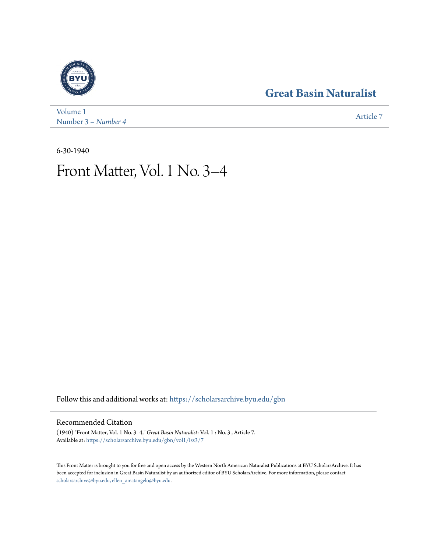### **[Great Basin Naturalist](https://scholarsarchive.byu.edu/gbn?utm_source=scholarsarchive.byu.edu%2Fgbn%2Fvol1%2Fiss3%2F7&utm_medium=PDF&utm_campaign=PDFCoverPages)**



[Volume 1](https://scholarsarchive.byu.edu/gbn/vol1?utm_source=scholarsarchive.byu.edu%2Fgbn%2Fvol1%2Fiss3%2F7&utm_medium=PDF&utm_campaign=PDFCoverPages) Number 3 *[– Number 4](https://scholarsarchive.byu.edu/gbn/vol1/iss3?utm_source=scholarsarchive.byu.edu%2Fgbn%2Fvol1%2Fiss3%2F7&utm_medium=PDF&utm_campaign=PDFCoverPages)* [Article 7](https://scholarsarchive.byu.edu/gbn/vol1/iss3/7?utm_source=scholarsarchive.byu.edu%2Fgbn%2Fvol1%2Fiss3%2F7&utm_medium=PDF&utm_campaign=PDFCoverPages)

6-30-1940

## Front Matter, Vol. 1 No. 3–4

Follow this and additional works at: [https://scholarsarchive.byu.edu/gbn](https://scholarsarchive.byu.edu/gbn?utm_source=scholarsarchive.byu.edu%2Fgbn%2Fvol1%2Fiss3%2F7&utm_medium=PDF&utm_campaign=PDFCoverPages)

#### Recommended Citation

(1940) "Front Matter, Vol. 1 No. 3–4," *Great Basin Naturalist*: Vol. 1 : No. 3 , Article 7. Available at: [https://scholarsarchive.byu.edu/gbn/vol1/iss3/7](https://scholarsarchive.byu.edu/gbn/vol1/iss3/7?utm_source=scholarsarchive.byu.edu%2Fgbn%2Fvol1%2Fiss3%2F7&utm_medium=PDF&utm_campaign=PDFCoverPages)

This Front Matter is brought to you for free and open access by the Western North American Naturalist Publications at BYU ScholarsArchive. It has been accepted for inclusion in Great Basin Naturalist by an authorized editor of BYU ScholarsArchive. For more information, please contact [scholarsarchive@byu.edu, ellen\\_amatangelo@byu.edu.](mailto:scholarsarchive@byu.edu,%20ellen_amatangelo@byu.edu)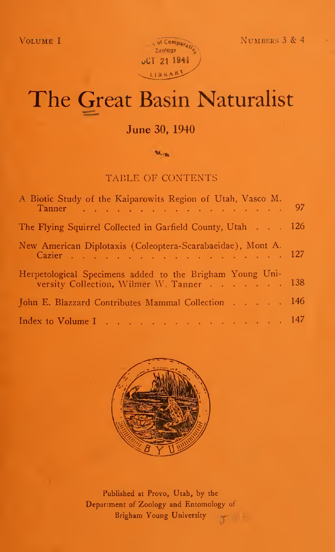

# The Great Basin Naturalist

#### June 30, 1940

**MA** real

#### TABLE OF CONTENTS

| A Biotic Study of the Kaiparowits Region of Utah, Vasco M.<br>Tanner 97                              |  |
|------------------------------------------------------------------------------------------------------|--|
| The Flying Squirrel Collected in Garfield County, Utah 126                                           |  |
| New American Diplotaxis (Coleoptera-Scarabaeidae), Mont A.<br>Cazier 127                             |  |
| Herpetological Specimens added to the Brigham Young Uni-<br>versity Collection, Wilmer W. Tanner 138 |  |
| John E. Blazzard Contributes Mammal Collection 146                                                   |  |
| Index to Volume I 147                                                                                |  |



Published at Provo, Utah, by the Department of Zoology and Entomology of Brigham Young University